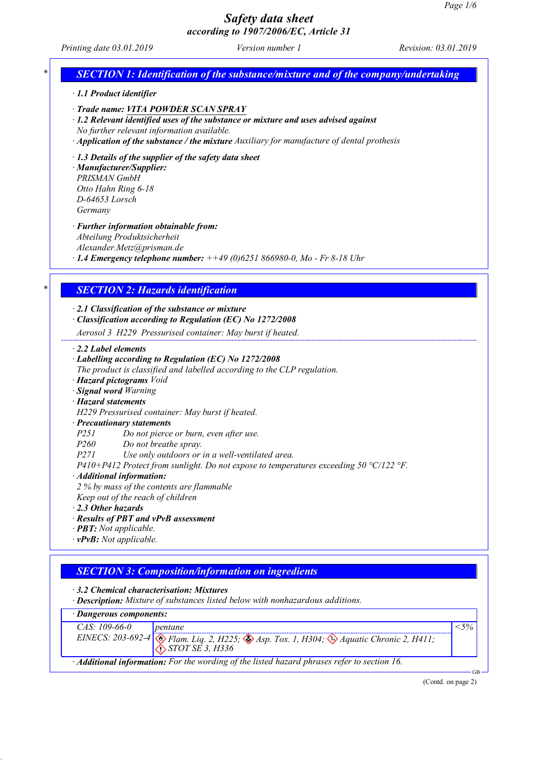*Printing date 03.01.2019 Version number 1 Revision: 03.01.2019*

# *\* SECTION 1: Identification of the substance/mixture and of the company/undertaking*

- *· 1.1 Product identifier*
- *· Trade name: VITA POWDER SCAN SPRAY*
- *· 1.2 Relevant identified uses of the substance or mixture and uses advised against No further relevant information available.*
- *· Application of the substance / the mixture Auxiliary for manufacture of dental prothesis*
- *· 1.3 Details of the supplier of the safety data sheet*

*· Manufacturer/Supplier: PRISMAN GmbH Otto Hahn Ring 6-18 D-64653 Lorsch Germany*

- *· Further information obtainable from:*
- *Abteilung Produktsicherheit*
- *Alexander.Metz@prisman.de*
- *· 1.4 Emergency telephone number: ++49 (0)6251 866980-0, Mo - Fr 8-18 Uhr*

## *\* SECTION 2: Hazards identification*

*· 2.1 Classification of the substance or mixture*

*· Classification according to Regulation (EC) No 1272/2008*

*Aerosol 3 H229 Pressurised container: May burst if heated.*

*· 2.2 Label elements*

### *· Labelling according to Regulation (EC) No 1272/2008*

*The product is classified and labelled according to the CLP regulation.*

- *· Hazard pictograms Void*
- *· Signal word Warning*
- *· Hazard statements*

*H229 Pressurised container: May burst if heated.*

### *· Precautionary statements*

*P251 Do not pierce or burn, even after use.*

*P260 Do not breathe spray.*

*P271 Use only outdoors or in a well-ventilated area.*

*P410+P412 Protect from sunlight. Do not expose to temperatures exceeding 50 °C/122 °F.*

- *· Additional information:*
- *2 % by mass of the contents are flammable*
- *Keep out of the reach of children*
- *· 2.3 Other hazards*
- *· Results of PBT and vPvB assessment*
- *· PBT: Not applicable.*
- *· vPvB: Not applicable.*

### *SECTION 3: Composition/information on ingredients*

*· 3.2 Chemical characterisation: Mixtures*

*· Description: Mixture of substances listed below with nonhazardous additions.*

| · Dangerous components:                                                                     |                                                                                                                                                            |        |  |
|---------------------------------------------------------------------------------------------|------------------------------------------------------------------------------------------------------------------------------------------------------------|--------|--|
| CAS: 109-66-0                                                                               | <i>pentane</i>                                                                                                                                             | $<$ 5% |  |
|                                                                                             | EINECS: 203-692-4 $\otimes$ Flam. Liq. 2, H225; $\otimes$ Asp. Tox. 1, H304; $\otimes$ Aquatic Chronic 2, H411;<br>$\langle \cdot \rangle$ STOT SE 3, H336 |        |  |
| · Additional information: For the wording of the listed hazard phrases refer to section 16. |                                                                                                                                                            |        |  |

(Contd. on page 2)

GB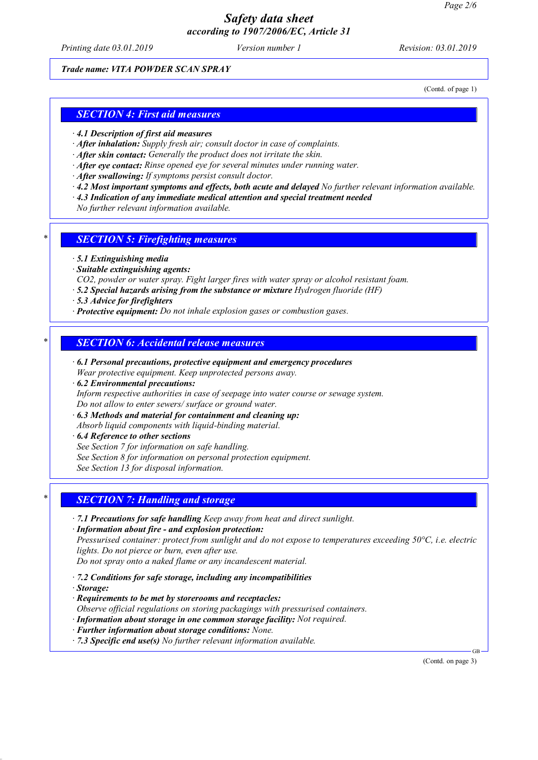*Printing date 03.01.2019 Version number 1 Revision: 03.01.2019*

### *Trade name: VITA POWDER SCAN SPRAY*

(Contd. of page 1)

### *SECTION 4: First aid measures*

- *· 4.1 Description of first aid measures*
- *· After inhalation: Supply fresh air; consult doctor in case of complaints.*
- *· After skin contact: Generally the product does not irritate the skin.*
- *· After eye contact: Rinse opened eye for several minutes under running water.*
- *· After swallowing: If symptoms persist consult doctor.*
- *· 4.2 Most important symptoms and effects, both acute and delayed No further relevant information available.*
- *· 4.3 Indication of any immediate medical attention and special treatment needed*

*No further relevant information available.*

- *\* SECTION 5: Firefighting measures*
- *· 5.1 Extinguishing media*
- *· Suitable extinguishing agents:*
- *CO2, powder or water spray. Fight larger fires with water spray or alcohol resistant foam.*
- *· 5.2 Special hazards arising from the substance or mixture Hydrogen fluoride (HF)*
- *· 5.3 Advice for firefighters*
- *· Protective equipment: Do not inhale explosion gases or combustion gases.*

### *\* SECTION 6: Accidental release measures*

- *· 6.1 Personal precautions, protective equipment and emergency procedures Wear protective equipment. Keep unprotected persons away.*
- *· 6.2 Environmental precautions: Inform respective authorities in case of seepage into water course or sewage system. Do not allow to enter sewers/ surface or ground water.*
- *· 6.3 Methods and material for containment and cleaning up: Absorb liquid components with liquid-binding material.*
- *· 6.4 Reference to other sections*
- *See Section 7 for information on safe handling.*
- *See Section 8 for information on personal protection equipment.*

*See Section 13 for disposal information.*

### *\* SECTION 7: Handling and storage*

- *· 7.1 Precautions for safe handling Keep away from heat and direct sunlight.*
- *· Information about fire - and explosion protection:*

*Pressurised container: protect from sunlight and do not expose to temperatures exceeding 50°C, i.e. electric lights. Do not pierce or burn, even after use.*

*Do not spray onto a naked flame or any incandescent material.*

- *· 7.2 Conditions for safe storage, including any incompatibilities*
- *· Storage:*
- *· Requirements to be met by storerooms and receptacles:*
- *Observe official regulations on storing packagings with pressurised containers.*
- *· Information about storage in one common storage facility: Not required.*
- *· Further information about storage conditions: None.*
- *· 7.3 Specific end use(s) No further relevant information available.*

(Contd. on page 3)

GB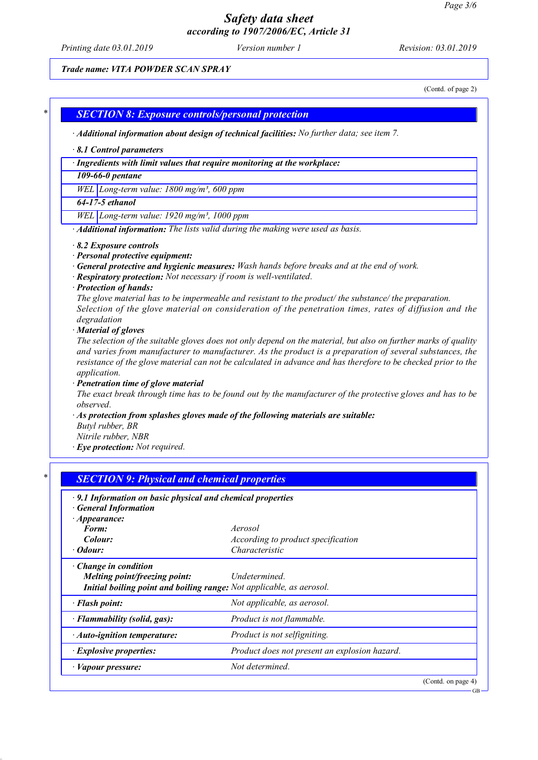*Printing date 03.01.2019 Version number 1 Revision: 03.01.2019*

### *Trade name: VITA POWDER SCAN SPRAY*

(Contd. of page 2)

GB

### *\* SECTION 8: Exposure controls/personal protection*

*· Additional information about design of technical facilities: No further data; see item 7.*

#### *· 8.1 Control parameters*

*· Ingredients with limit values that require monitoring at the workplace:*

### *109-66-0 pentane*

*WEL Long-term value: 1800 mg/m³, 600 ppm*

*64-17-5 ethanol*

*WEL Long-term value: 1920 mg/m³, 1000 ppm*

*· Additional information: The lists valid during the making were used as basis.*

- *· 8.2 Exposure controls*
- *· Personal protective equipment:*
- *· General protective and hygienic measures: Wash hands before breaks and at the end of work.*
- *· Respiratory protection: Not necessary if room is well-ventilated.*
- *· Protection of hands:*

*The glove material has to be impermeable and resistant to the product/ the substance/ the preparation. Selection of the glove material on consideration of the penetration times, rates of diffusion and the degradation*

*· Material of gloves*

The selection of the suitable gloves does not only depend on the material, but also on further marks of quality *and varies from manufacturer to manufacturer. As the product is a preparation of several substances, the* resistance of the glove material can not be calculated in advance and has therefore to be checked prior to the *application.*

*· Penetration time of glove material*

The exact break through time has to be found out by the manufacturer of the protective gloves and has to be *observed.*

- *· As protection from splashes gloves made of the following materials are suitable:*
- *Butyl rubber, BR*

*Nitrile rubber, NBR*

*· Eye protection: Not required.*

| .9.1 Information on basic physical and chemical properties<br>· General Information |                                               |  |
|-------------------------------------------------------------------------------------|-----------------------------------------------|--|
| $\cdot$ Appearance:<br>Form:                                                        | Aerosol                                       |  |
| Colour:                                                                             | <i>According to product specification</i>     |  |
| · Odour:                                                                            | Characteristic                                |  |
| $\cdot$ Change in condition                                                         |                                               |  |
| Melting point/freezing point:                                                       | Undetermined.                                 |  |
| Initial boiling point and boiling range: Not applicable, as aerosol.                |                                               |  |
| · Flash point:                                                                      | Not applicable, as aerosol.                   |  |
| · Flammability (solid, gas):                                                        | Product is not flammable.                     |  |
| $\cdot$ Auto-ignition temperature:                                                  | Product is not selfigniting.                  |  |
| · Explosive properties:                                                             | Product does not present an explosion hazard. |  |
| · Vapour pressure:                                                                  | Not determined.                               |  |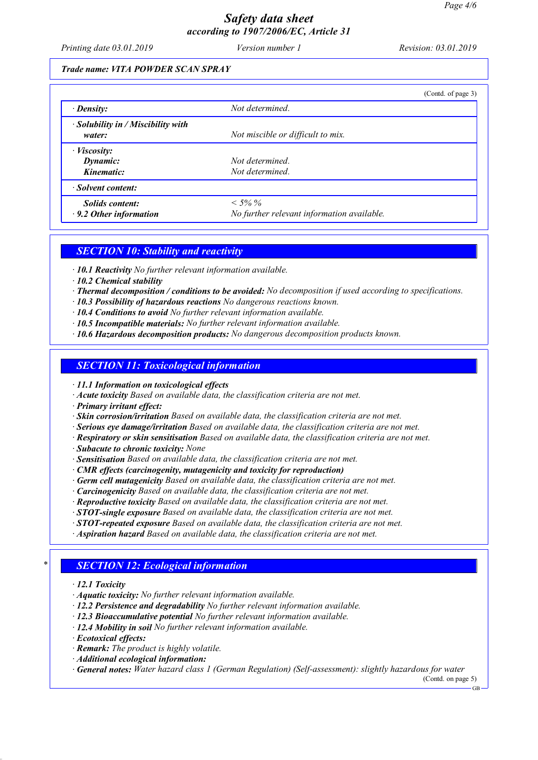*Printing date 03.01.2019 Version number 1 Revision: 03.01.2019*

### *Trade name: VITA POWDER SCAN SPRAY*

|                                                             |                                                          | (Contd. of page 3) |
|-------------------------------------------------------------|----------------------------------------------------------|--------------------|
| $\cdot$ Density:                                            | Not determined.                                          |                    |
| $\cdot$ Solubility in / Miscibility with<br>water:          | Not miscible or difficult to mix.                        |                    |
| $\cdot$ <i>Viscosity</i> :<br><b>Dynamic:</b><br>Kinematic: | Not determined.<br>Not determined.                       |                    |
| · Solvent content:                                          |                                                          |                    |
| Solids content:<br>$\cdot$ 9.2 Other information            | $< 5\% \%$<br>No further relevant information available. |                    |

# *SECTION 10: Stability and reactivity*

- *· 10.1 Reactivity No further relevant information available.*
- *· 10.2 Chemical stability*
- *· Thermal decomposition / conditions to be avoided: No decomposition if used according to specifications.*
- *· 10.3 Possibility of hazardous reactions No dangerous reactions known.*
- *· 10.4 Conditions to avoid No further relevant information available.*
- *· 10.5 Incompatible materials: No further relevant information available.*
- *· 10.6 Hazardous decomposition products: No dangerous decomposition products known.*

### *SECTION 11: Toxicological information*

*· 11.1 Information on toxicological effects*

- *· Acute toxicity Based on available data, the classification criteria are not met.*
- *· Primary irritant effect:*
- *· Skin corrosion/irritation Based on available data, the classification criteria are not met.*
- *· Serious eye damage/irritation Based on available data, the classification criteria are not met.*
- *· Respiratory or skin sensitisation Based on available data, the classification criteria are not met.*
- *· Subacute to chronic toxicity: None*
- *· Sensitisation Based on available data, the classification criteria are not met.*
- *· CMR effects (carcinogenity, mutagenicity and toxicity for reproduction)*
- *· Germ cell mutagenicity Based on available data, the classification criteria are not met.*
- *· Carcinogenicity Based on available data, the classification criteria are not met.*
- *· Reproductive toxicity Based on available data, the classification criteria are not met.*
- *· STOT-single exposure Based on available data, the classification criteria are not met.*
- *· STOT-repeated exposure Based on available data, the classification criteria are not met.*
- *· Aspiration hazard Based on available data, the classification criteria are not met.*

## *\* SECTION 12: Ecological information*

- *· 12.1 Toxicity*
- *· Aquatic toxicity: No further relevant information available.*
- *· 12.2 Persistence and degradability No further relevant information available.*
- *· 12.3 Bioaccumulative potential No further relevant information available.*
- *· 12.4 Mobility in soil No further relevant information available.*
- *· Ecotoxical effects:*
- *· Remark: The product is highly volatile.*
- *· Additional ecological information:*

*· General notes: Water hazard class 1 (German Regulation) (Self-assessment): slightly hazardous for water*

(Contd. on page 5)

GB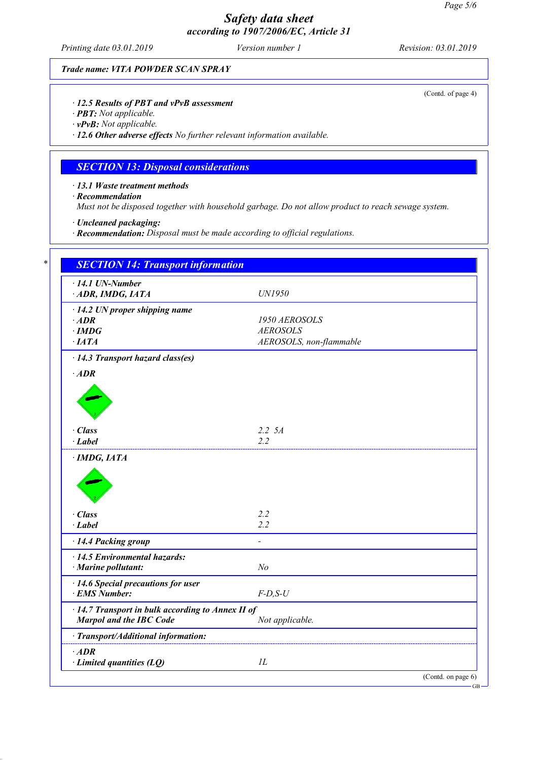*Printing date 03.01.2019 Version number 1 Revision: 03.01.2019*

*Trade name: VITA POWDER SCAN SPRAY*

#### *· 12.5 Results of PBT and vPvB assessment*

- *· PBT: Not applicable.*
- *· vPvB: Not applicable.*

*· 12.6 Other adverse effects No further relevant information available.*

# *SECTION 13: Disposal considerations*

*· 13.1 Waste treatment methods*

*· Recommendation*

*Must not be disposed together with household garbage. Do not allow product to reach sewage system.*

*· Uncleaned packaging:*

*· Recommendation: Disposal must be made according to official regulations.*

| $\cdot$ 14.1 UN-Number<br>ADR, IMDG, IATA                                                                                                                                    | UN1950                  |  |
|------------------------------------------------------------------------------------------------------------------------------------------------------------------------------|-------------------------|--|
| $\cdot$ 14.2 UN proper shipping name                                                                                                                                         |                         |  |
| $\cdot$ ADR                                                                                                                                                                  | 1950 AEROSOLS           |  |
| $\cdot$ IMDG                                                                                                                                                                 | <b>AEROSOLS</b>         |  |
| $\cdot$ IATA                                                                                                                                                                 | AEROSOLS, non-flammable |  |
| $\cdot$ 14.3 Transport hazard class(es)                                                                                                                                      |                         |  |
| $\cdot$ ADR                                                                                                                                                                  |                         |  |
|                                                                                                                                                                              |                         |  |
|                                                                                                                                                                              |                         |  |
|                                                                                                                                                                              |                         |  |
|                                                                                                                                                                              |                         |  |
| $\cdot$ Class                                                                                                                                                                | $2.2\,5A$               |  |
| $\cdot$ Label                                                                                                                                                                | 2.2                     |  |
|                                                                                                                                                                              |                         |  |
|                                                                                                                                                                              | 2.2                     |  |
|                                                                                                                                                                              | 2.2                     |  |
|                                                                                                                                                                              |                         |  |
|                                                                                                                                                                              |                         |  |
|                                                                                                                                                                              | N <sub>o</sub>          |  |
|                                                                                                                                                                              |                         |  |
| $\cdot$ Class<br>$\cdot$ Label<br>· 14.4 Packing group<br>$\cdot$ 14.5 Environmental hazards:<br>· Marine pollutant:<br>· 14.6 Special precautions for user<br>· EMS Number: | $F-D, S-U$              |  |
|                                                                                                                                                                              |                         |  |
| · 14.7 Transport in bulk according to Annex II of<br>Marpol and the IBC Code                                                                                                 | Not applicable.         |  |
| · Transport/Additional information:                                                                                                                                          |                         |  |
| $\cdot$ ADR                                                                                                                                                                  |                         |  |

(Contd. of page 4)